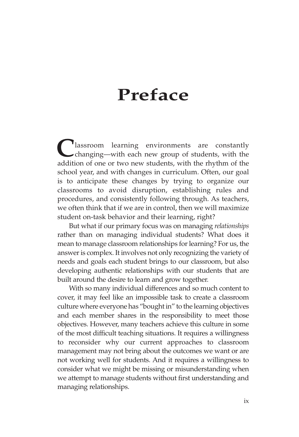# **Preface**

Classroom learning environments are constantly changing—with each new group of students, with the addition of one or two new students, with the rhythm of the school year, and with changes in curriculum. Often, our goal is to anticipate these changes by trying to organize our classrooms to avoid disruption, establishing rules and procedures, and consistently following through. As teachers, we often think that if we are in control, then we will maximize student on-task behavior and their learning, right?

But what if our primary focus was on managing *relationships* rather than on managing individual students? What does it mean to manage classroom relationships for learning? For us, the answer is complex. It involves not only recognizing the variety of needs and goals each student brings to our classroom, but also developing authentic relationships with our students that are built around the desire to learn and grow together.

With so many individual differences and so much content to cover, it may feel like an impossible task to create a classroom culture where everyone has "bought in" to the learning objectives and each member shares in the responsibility to meet those objectives. However, many teachers achieve this culture in some of the most difficult teaching situations. It requires a willingness to reconsider why our current approaches to classroom management may not bring about the outcomes we want or are not working well for students. And it requires a willingness to consider what we might be missing or misunderstanding when we attempt to manage students without first understanding and managing relationships.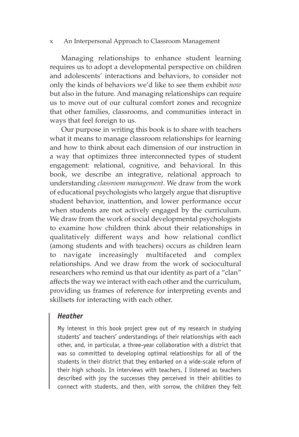#### x——An Interpersonal Approach to Classroom Management

Managing relationships to enhance student learning requires us to adopt a developmental perspective on children and adolescents' interactions and behaviors, to consider not only the kinds of behaviors we'd like to see them exhibit *now* but also in the future. And managing relationships can require us to move out of our cultural comfort zones and recognize that other families, classrooms, and communities interact in ways that feel foreign to us.

Our purpose in writing this book is to share with teachers what it means to manage classroom relationships for learning and how to think about each dimension of our instruction in a way that optimizes three interconnected types of student engagement: relational, cognitive, and behavioral. In this book, we describe an integrative, relational approach to understanding *classroom management.* We draw from the work of educational psychologists who largely argue that disruptive student behavior, inattention, and lower performance occur when students are not actively engaged by the curriculum. We draw from the work of social developmental psychologists to examine how children think about their relationships in qualitatively different ways and how relational conflict (among students and with teachers) occurs as children learn to navigate increasingly multifaceted and complex relationships. And we draw from the work of sociocultural researchers who remind us that our identity as part of a "clan" affects the way we interact with each other and the curriculum, providing us frames of reference for interpreting events and skillsets for interacting with each other.

### *Heather*

My interest in this book project grew out of my research in studying students' and teachers' understandings of their relationships with each other, and, in particular, a three-year collaboration with a district that was so committed to developing optimal relationships for all of the students in their district that they embarked on a wide-scale reform of their high schools. In interviews with teachers, I listened as teachers described with joy the successes they perceived in their abilities to connect with students, and then, with sorrow, the children they felt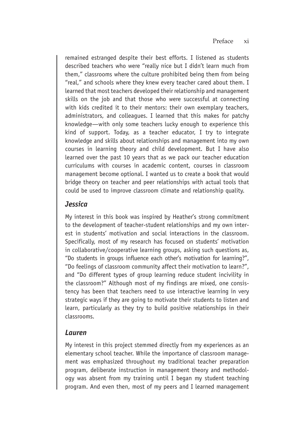remained estranged despite their best efforts. I listened as students described teachers who were "really nice but I didn't learn much from them," classrooms where the culture prohibited being them from being "real," and schools where they knew every teacher cared about them. I learned that most teachers developed their relationship and management skills on the job and that those who were successful at connecting with kids credited it to their mentors: their own exemplary teachers, administrators, and colleagues. I learned that this makes for patchy knowledge—with only some teachers lucky enough to experience this kind of support. Today, as a teacher educator, I try to integrate knowledge and skills about relationships and management into my own courses in learning theory and child development. But I have also learned over the past 10 years that as we pack our teacher education curriculums with courses in academic content, courses in classroom management become optional. I wanted us to create a book that would bridge theory on teacher and peer relationships with actual tools that could be used to improve classroom climate and relationship quality.

## *Jessica*

My interest in this book was inspired by Heather's strong commitment to the development of teacher-student relationships and my own interest in students' motivation and social interactions in the classroom. Specifically, most of my research has focused on students' motivation in collaborative/cooperative learning groups, asking such questions as, "Do students in groups influence each other's motivation for learning?", "Do feelings of classroom community affect their motivation to learn?", and "Do different types of group learning reduce student incivility in the classroom?" Although most of my findings are mixed, one consistency has been that teachers need to use interactive learning in very strategic ways if they are going to motivate their students to listen and learn, particularly as they try to build positive relationships in their classrooms.

## *Lauren*

My interest in this project stemmed directly from my experiences as an elementary school teacher. While the importance of classroom management was emphasized throughout my traditional teacher preparation program, deliberate instruction in management theory and methodology was absent from my training until I began my student teaching program. And even then, most of my peers and I learned management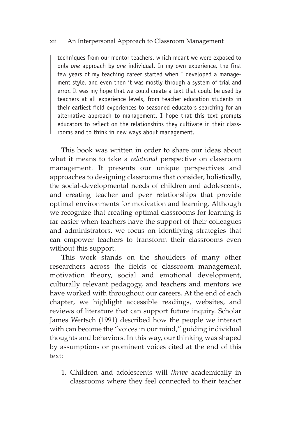## xii——An Interpersonal Approach to Classroom Management

techniques from our mentor teachers, which meant we were exposed to only *one* approach by *one* individual. In my own experience, the first few years of my teaching career started when I developed a management style, and even then it was mostly through a system of trial and error. It was my hope that we could create a text that could be used by teachers at all experience levels, from teacher education students in their earliest field experiences to seasoned educators searching for an alternative approach to management. I hope that this text prompts educators to reflect on the relationships they cultivate in their classrooms and to think in new ways about management.

This book was written in order to share our ideas about what it means to take a *relational* perspective on classroom management. It presents our unique perspectives and approaches to designing classrooms that consider, holistically, the social-developmental needs of children and adolescents, and creating teacher and peer relationships that provide optimal environments for motivation and learning. Although we recognize that creating optimal classrooms for learning is far easier when teachers have the support of their colleagues and administrators, we focus on identifying strategies that can empower teachers to transform their classrooms even without this support.

This work stands on the shoulders of many other researchers across the fields of classroom management, motivation theory, social and emotional development, culturally relevant pedagogy, and teachers and mentors we have worked with throughout our careers. At the end of each chapter, we highlight accessible readings, websites, and reviews of literature that can support future inquiry. Scholar James Wertsch (1991) described how the people we interact with can become the "voices in our mind," guiding individual thoughts and behaviors. In this way, our thinking was shaped by assumptions or prominent voices cited at the end of this text:

1. Children and adolescents will *thrive* academically in classrooms where they feel connected to their teacher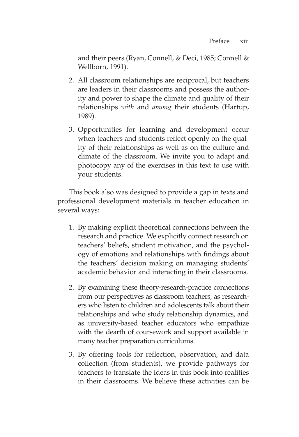and their peers (Ryan, Connell, & Deci, 1985; Connell & Wellborn, 1991).

- 2. All classroom relationships are reciprocal, but teachers are leaders in their classrooms and possess the authority and power to shape the climate and quality of their relationships *with* and *among* their students (Hartup, 1989).
- 3. Opportunities for learning and development occur when teachers and students reflect openly on the quality of their relationships as well as on the culture and climate of the classroom. We invite you to adapt and photocopy any of the exercises in this text to use with your students.

This book also was designed to provide a gap in texts and professional development materials in teacher education in several ways:

- 1. By making explicit theoretical connections between the research and practice. We explicitly connect research on teachers' beliefs, student motivation, and the psychology of emotions and relationships with findings about the teachers' decision making on managing students' academic behavior and interacting in their classrooms.
- 2. By examining these theory-research-practice connections from our perspectives as classroom teachers, as researchers who listen to children and adolescents talk about their relationships and who study relationship dynamics, and as university-based teacher educators who empathize with the dearth of coursework and support available in many teacher preparation curriculums.
- 3. By offering tools for reflection, observation, and data collection (from students), we provide pathways for teachers to translate the ideas in this book into realities in their classrooms. We believe these activities can be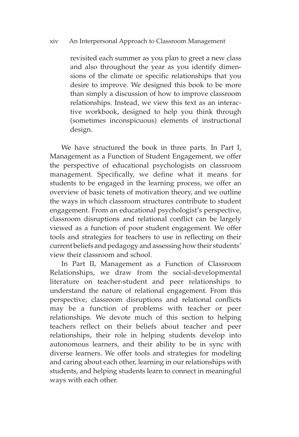## xiv——An Interpersonal Approach to Classroom Management

revisited each summer as you plan to greet a new class and also throughout the year as you identify dimensions of the climate or specific relationships that you desire to improve. We designed this book to be more than simply a discussion of how to improve classroom relationships. Instead, we view this text as an interactive workbook, designed to help you think through (sometimes inconspicuous) elements of instructional design.

We have structured the book in three parts. In Part I, Management as a Function of Student Engagement, we offer the perspective of educational psychologists on classroom management. Specifically, we define what it means for students to be engaged in the learning process, we offer an overview of basic tenets of motivation theory, and we outline the ways in which classroom structures contribute to student engagement. From an educational psychologist's perspective, classroom disruptions and relational conflict can be largely viewed as a function of poor student engagement. We offer tools and strategies for teachers to use in reflecting on their current beliefs and pedagogy and assessing how their students' view their classroom and school.

In Part II, Management as a Function of Classroom Relationships, we draw from the social-developmental literature on teacher-student and peer relationships to understand the nature of relational engagement. From this perspective, classroom disruptions and relational conflicts may be a function of problems with teacher or peer relationships. We devote much of this section to helping teachers reflect on their beliefs about teacher and peer relationships, their role in helping students develop into autonomous learners, and their ability to be in sync with diverse learners. We offer tools and strategies for modeling and caring about each other, learning in our relationships with students, and helping students learn to connect in meaningful ways with each other.